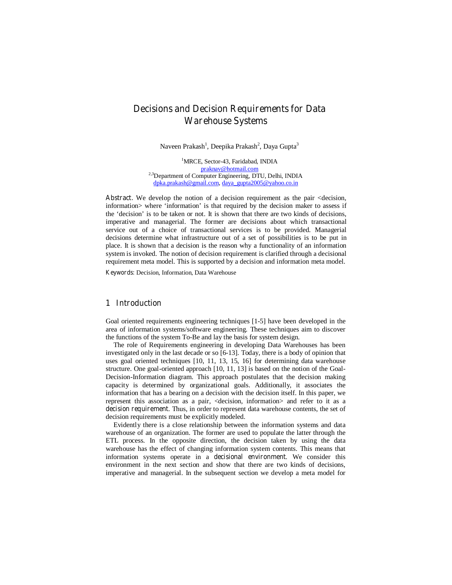# **Decisions and Decision Requirements for Data Warehouse Systems**

Naveen Prakash<sup>1</sup>, Deepika Prakash<sup>2</sup>, Daya Gupta<sup>3</sup>

<sup>1</sup>MRCE, Sector-43, Faridabad, INDIA praknav@hotmail.com <sup>2,3</sup>Department of Computer Engineering, DTU, Delhi, INDIA dpka.prakash@gmail.com, daya\_gupta2005@yahoo.co.in

Abstract. We develop the notion of a decision requirement as the pair <decision, information> where 'information' is that required by the decision maker to assess if the 'decision' is to be taken or not. It is shown that there are two kinds of decisions, imperative and managerial. The former are decisions about which transactional service out of a choice of transactional services is to be provided. Managerial decisions determine what infrastructure out of a set of possibilities is to be put in place. It is shown that a decision is the reason why a functionality of an information system is invoked. The notion of decision requirement is clarified through a decisional requirement meta model. This is supported by a decision and information meta model.

**Keywords:** Decision, Information, Data Warehouse

## **1 Introduction**

Goal oriented requirements engineering techniques [1-5] have been developed in the area of information systems/software engineering. These techniques aim to discover the functions of the system To-Be and lay the basis for system design.

The role of Requirements engineering in developing Data Warehouses has been investigated only in the last decade or so [6-13]. Today, there is a body of opinion that uses goal oriented techniques [10, 11, 13, 15, 16] for determining data warehouse structure. One goal-oriented approach [10, 11, 13] is based on the notion of the Goal-Decision-Information diagram. This approach postulates that the decision making capacity is determined by organizational goals. Additionally, it associates the information that has a bearing on a decision with the decision itself. In this paper, we represent this association as a pair, <decision, information> and refer to it as a **decision requirement**. Thus, in order to represent data warehouse contents, the set of decision requirements must be explicitly modeled.

Evidently there is a close relationship between the information systems and data warehouse of an organization. The former are used to populate the latter through the ETL process. In the opposite direction, the decision taken by using the data warehouse has the effect of changing information system contents. This means that information systems operate in a **decisional environment**. We consider this environment in the next section and show that there are two kinds of decisions, imperative and managerial. In the subsequent section we develop a meta model for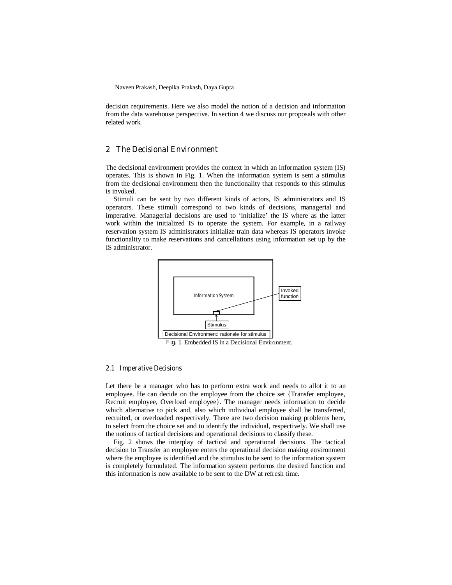decision requirements. Here we also model the notion of a decision and information from the data warehouse perspective. In section 4 we discuss our proposals with other related work.

## **2 The Decisional Environment**

The decisional environment provides the context in which an information system (IS) operates. This is shown in Fig. 1. When the information system is sent a stimulus from the decisional environment then the functionality that responds to this stimulus is invoked.

Stimuli can be sent by two different kinds of actors, IS administrators and IS operators. These stimuli correspond to two kinds of decisions, managerial and imperative. Managerial decisions are used to 'initialize' the IS where as the latter work within the initialized IS to operate the system. For example, in a railway reservation system IS administrators initialize train data whereas IS operators invoke functionality to make reservations and cancellations using information set up by the IS administrator.



**Fig. 1.** Embedded IS in a Decisional Environment.

#### **2.1 Imperative Decisions**

Let there be a manager who has to perform extra work and needs to allot it to an employee. He can decide on the employee from the choice set {Transfer employee, Recruit employee, Overload employee}. The manager needs information to decide which alternative to pick and, also which individual employee shall be transferred, recruited, or overloaded respectively. There are two decision making problems here, to select from the choice set and to identify the individual, respectively. We shall use the notions of tactical decisions and operational decisions to classify these.

Fig. 2 shows the interplay of tactical and operational decisions. The tactical decision to Transfer an employee enters the operational decision making environment where the employee is identified and the stimulus to be sent to the information system is completely formulated. The information system performs the desired function and this information is now available to be sent to the DW at refresh time.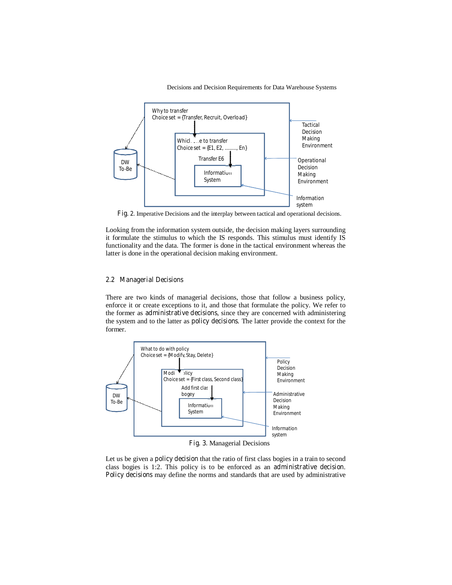Decisions and Decision Requirements for Data Warehouse Systems



**Fig. 2.** Imperative Decisions and the interplay between tactical and operational decisions.

Looking from the information system outside, the decision making layers surrounding it formulate the stimulus to which the IS responds. This stimulus must identify IS functionality and the data. The former is done in the tactical environment whereas the latter is done in the operational decision making environment.

## **2.2 Managerial Decisions**

There are two kinds of managerial decisions, those that follow a business policy, enforce it or create exceptions to it, and those that formulate the policy. We refer to the former as **administrative decisions**, since they are concerned with administering the system and to the latter as **policy decisions**. The latter provide the context for the former.



**Fig. 3.** Managerial Decisions

Let us be given a **policy decision** that the ratio of first class bogies in a train to second class bogies is 1:2. This policy is to be enforced as an **administrative decision**. **Policy decisions** may define the norms and standards that are used by administrative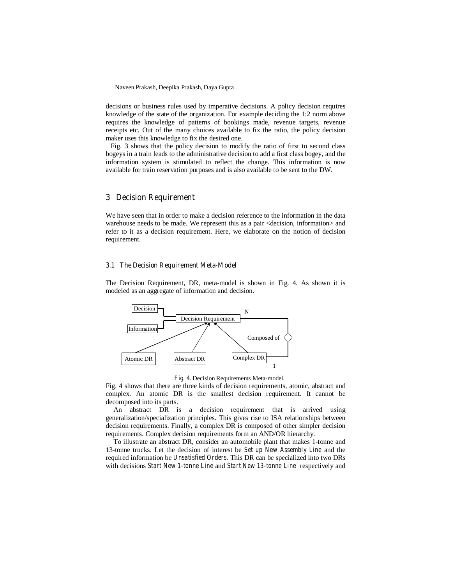decisions or business rules used by imperative decisions. A policy decision requires knowledge of the state of the organization. For example deciding the 1:2 norm above requires the knowledge of patterns of bookings made, revenue targets, revenue receipts etc. Out of the many choices available to fix the ratio, the policy decision maker uses this knowledge to fix the desired one.

 Fig. 3 shows that the policy decision to modify the ratio of first to second class bogeys in a train leads to the administrative decision to add a first class bogey, and the information system is stimulated to reflect the change. This information is now available for train reservation purposes and is also available to be sent to the DW.

## **3 Decision Requirement**

We have seen that in order to make a decision reference to the information in the data warehouse needs to be made. We represent this as a pair  $\leq$  decision, information $\geq$  and refer to it as a decision requirement. Here, we elaborate on the notion of decision requirement.

### **3.1 The Decision Requirement Meta-Model**

The Decision Requirement, DR, meta-model is shown in Fig. 4. As shown it is modeled as an aggregate of information and decision.



**Fig. 4.** Decision Requirements Meta-model.

Fig. 4 shows that there are three kinds of decision requirements, atomic, abstract and complex. An atomic DR is the smallest decision requirement. It cannot be decomposed into its parts.

An abstract DR is a decision requirement that is arrived using generalization/specialization principles. This gives rise to ISA relationships between decision requirements. Finally, a complex DR is composed of other simpler decision requirements. Complex decision requirements form an AND/OR hierarchy.

To illustrate an abstract DR, consider an automobile plant that makes 1-tonne and 13-tonne trucks. Let the decision of interest be *Set up New Assembly Line* and the required information be *Unsatisfied Orders.* This DR can be specialized into two DRs with decisions *Start New 1-tonne Line* and *Start New 13-tonne Line* respectively and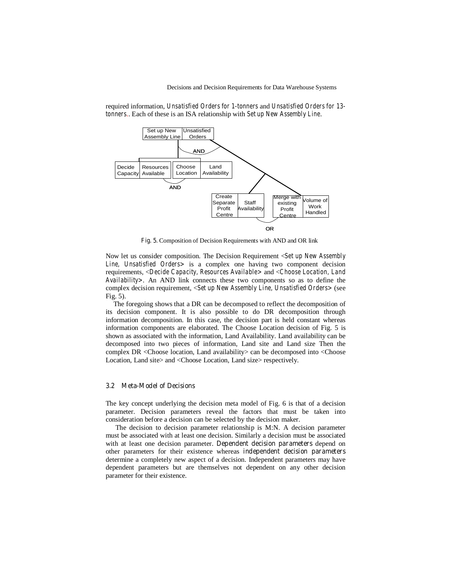

required information, *Unsatisfied Orders for 1-tonners* and *Unsatisfied Orders for 13 tonners*.. Each of these is an ISA relationship with *Set up New Assembly Line*.

**Fig. 5.** Composition of Decision Requirements with AND and OR link

Now let us consider composition. The Decision Requirement <*Set up New Assembly Line, Unsatisfied Orders>* is a complex one having two component decision requirements, <*Decide Capacity, Resources Available>* and <*Choose Location, Land Availability>*. An AND link connects these two components so as to define the complex decision requirement, <*Set up New Assembly Line, Unsatisfied Orders>* (see Fig. 5).

The foregoing shows that a DR can be decomposed to reflect the decomposition of its decision component. It is also possible to do DR decomposition through information decomposition. In this case, the decision part is held constant whereas information components are elaborated. The Choose Location decision of Fig. 5 is shown as associated with the information, Land Availability. Land availability can be decomposed into two pieces of information, Land site and Land size Then the complex DR <Choose location, Land availability> can be decomposed into <Choose Location, Land site> and <Choose Location, Land size> respectively.

#### **3.2 Meta-Model of Decisions**

The key concept underlying the decision meta model of Fig. 6 is that of a decision parameter. Decision parameters reveal the factors that must be taken into consideration before a decision can be selected by the decision maker.

The decision to decision parameter relationship is M:N. A decision parameter must be associated with at least one decision. Similarly a decision must be associated with at least one decision parameter. **Dependent decision parameters** depend on other parameters for their existence whereas **independent decision parameters** determine a completely new aspect of a decision. Independent parameters may have dependent parameters but are themselves not dependent on any other decision parameter for their existence.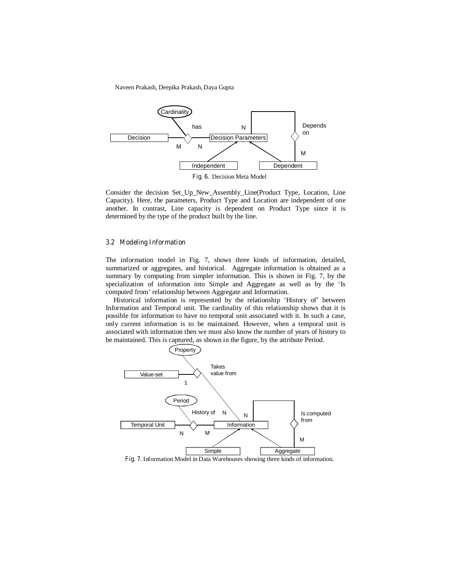

Consider the decision Set\_Up\_New\_Assembly\_Line(Product Type, Location, Line Capacity). Here, the parameters, Product Type and Location are independent of one another. In contrast, Line capacity is dependent on Product Type since it is determined by the type of the product built by the line.

#### **3.2 Modeling Information**

The information model in Fig. 7, shows three kinds of information, detailed, summarized or aggregates, and historical. Aggregate information is obtained as a summary by computing from simpler information. This is shown in Fig. 7, by the specialization of information into Simple and Aggregate as well as by the 'Is computed from' relationship between Aggregate and Information.

Historical information is represented by the relationship 'History of' between Information and Temporal unit. The cardinality of this relationship shows that it is possible for information to have no temporal unit associated with it. In such a case, only current information is to be maintained. However, when a temporal unit is associated with information then we must also know the number of years of history to be maintained. This is captured, as shown in the figure, by the attribute Period.



**Fig. 7**. Information Model in Data Warehouses showing three kinds of information.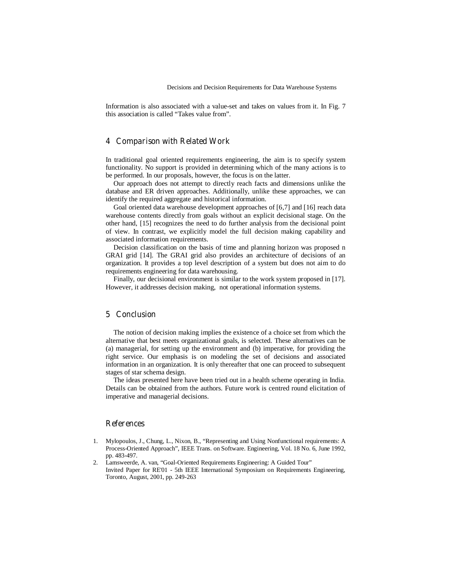Information is also associated with a value-set and takes on values from it. In Fig. 7 this association is called "Takes value from".

# **4 Comparison with Related Work**

In traditional goal oriented requirements engineering, the aim is to specify system functionality. No support is provided in determining which of the many actions is to be performed. In our proposals, however, the focus is on the latter.

Our approach does not attempt to directly reach facts and dimensions unlike the database and ER driven approaches. Additionally, unlike these approaches, we can identify the required aggregate and historical information.

Goal oriented data warehouse development approaches of [6,7] and [16] reach data warehouse contents directly from goals without an explicit decisional stage. On the other hand, [15] recognizes the need to do further analysis from the decisional point of view. In contrast, we explicitly model the full decision making capability and associated information requirements.

Decision classification on the basis of time and planning horizon was proposed n GRAI grid [14]. The GRAI grid also provides an architecture of decisions of an organization. It provides a top level description of a system but does not aim to do requirements engineering for data warehousing.

Finally, our decisional environment is similar to the work system proposed in [17]. However, it addresses decision making, not operational information systems.

# **5 Conclusion**

The notion of decision making implies the existence of a choice set from which the alternative that best meets organizational goals, is selected. These alternatives can be (a) managerial, for setting up the environment and (b) imperative, for providing the right service. Our emphasis is on modeling the set of decisions and associated information in an organization. It is only thereafter that one can proceed to subsequent stages of star schema design.

The ideas presented here have been tried out in a health scheme operating in India. Details can be obtained from the authors. Future work is centred round elicitation of imperative and managerial decisions.

## **References**

- 1. Mylopoulos, J., Chung, L., Nixon, B., "Representing and Using Nonfunctional requirements: A Process-Oriented Approach", IEEE Trans. on Software. Engineering, Vol. 18 No. 6, June 1992, pp. 483-497.
- 2. Lamsweerde, A. van, "Goal-Oriented Requirements Engineering: A Guided Tour" Invited Paper for RE'01 - 5th IEEE International Symposium on Requirements Engineering, Toronto, August, 2001, pp. 249-263